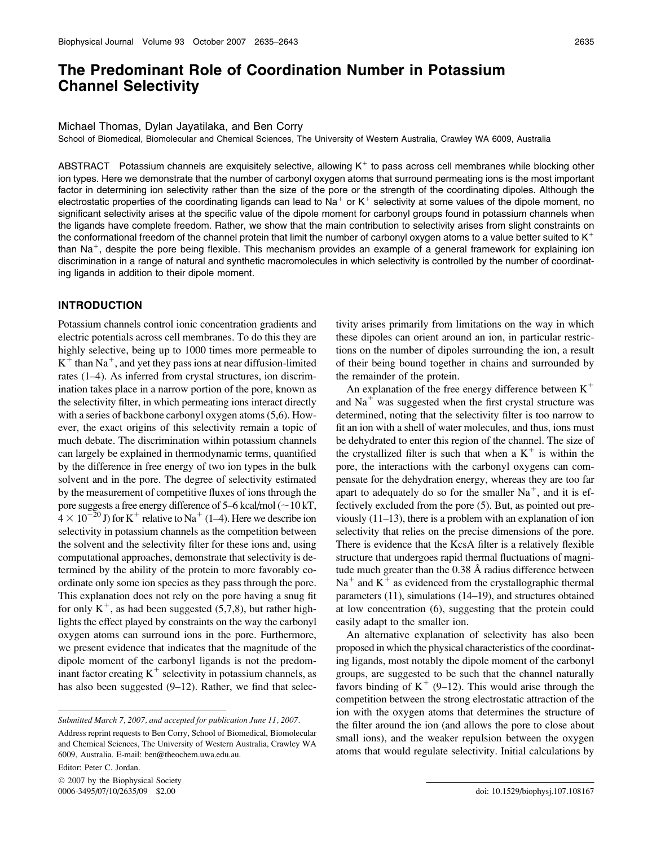# The Predominant Role of Coordination Number in Potassium Channel Selectivity

Michael Thomas, Dylan Jayatilaka, and Ben Corry

School of Biomedical, Biomolecular and Chemical Sciences, The University of Western Australia, Crawley WA 6009, Australia

ABSTRACT Potassium channels are exquisitely selective, allowing  $K^+$  to pass across cell membranes while blocking other ion types. Here we demonstrate that the number of carbonyl oxygen atoms that surround permeating ions is the most important factor in determining ion selectivity rather than the size of the pore or the strength of the coordinating dipoles. Although the electrostatic properties of the coordinating ligands can lead to Na<sup>+</sup> or K<sup>+</sup> selectivity at some values of the dipole moment, no significant selectivity arises at the specific value of the dipole moment for carbonyl groups found in potassium channels when the ligands have complete freedom. Rather, we show that the main contribution to selectivity arises from slight constraints on the conformational freedom of the channel protein that limit the number of carbonyl oxygen atoms to a value better suited to  $K^+$ than  $Na<sup>+</sup>$ , despite the pore being flexible. This mechanism provides an example of a general framework for explaining ion discrimination in a range of natural and synthetic macromolecules in which selectivity is controlled by the number of coordinating ligands in addition to their dipole moment.

## INTRODUCTION

Potassium channels control ionic concentration gradients and electric potentials across cell membranes. To do this they are highly selective, being up to 1000 times more permeable to  $K^+$  than Na<sup>+</sup>, and yet they pass ions at near diffusion-limited rates (1–4). As inferred from crystal structures, ion discrimination takes place in a narrow portion of the pore, known as the selectivity filter, in which permeating ions interact directly with a series of backbone carbonyl oxygen atoms (5,6). However, the exact origins of this selectivity remain a topic of much debate. The discrimination within potassium channels can largely be explained in thermodynamic terms, quantified by the difference in free energy of two ion types in the bulk solvent and in the pore. The degree of selectivity estimated by the measurement of competitive fluxes of ions through the pore suggests a free energy difference of 5–6 kcal/mol ( $\sim$ 10 kT,  $4 \times 10^{-20}$  J) for K<sup>+</sup> relative to Na<sup>+</sup> (1–4). Here we describe ion selectivity in potassium channels as the competition between the solvent and the selectivity filter for these ions and, using computational approaches, demonstrate that selectivity is determined by the ability of the protein to more favorably coordinate only some ion species as they pass through the pore. This explanation does not rely on the pore having a snug fit for only  $K^+$ , as had been suggested (5,7,8), but rather highlights the effect played by constraints on the way the carbonyl oxygen atoms can surround ions in the pore. Furthermore, we present evidence that indicates that the magnitude of the dipole moment of the carbonyl ligands is not the predominant factor creating  $K^+$  selectivity in potassium channels, as has also been suggested (9–12). Rather, we find that selec-

Address reprint requests to Ben Corry, School of Biomedical, Biomolecular and Chemical Sciences, The University of Western Australia, Crawley WA 6009, Australia. E-mail: ben@theochem.uwa.edu.au.

tivity arises primarily from limitations on the way in which these dipoles can orient around an ion, in particular restrictions on the number of dipoles surrounding the ion, a result of their being bound together in chains and surrounded by the remainder of the protein.

An explanation of the free energy difference between  $K^+$ and  $Na<sup>+</sup>$  was suggested when the first crystal structure was determined, noting that the selectivity filter is too narrow to fit an ion with a shell of water molecules, and thus, ions must be dehydrated to enter this region of the channel. The size of the crystallized filter is such that when a  $K^+$  is within the pore, the interactions with the carbonyl oxygens can compensate for the dehydration energy, whereas they are too far apart to adequately do so for the smaller  $Na<sup>+</sup>$ , and it is effectively excluded from the pore (5). But, as pointed out previously (11–13), there is a problem with an explanation of ion selectivity that relies on the precise dimensions of the pore. There is evidence that the KcsA filter is a relatively flexible structure that undergoes rapid thermal fluctuations of magnitude much greater than the 0.38 Å radius difference between  $Na<sup>+</sup>$  and  $K<sup>+</sup>$  as evidenced from the crystallographic thermal parameters (11), simulations (14–19), and structures obtained at low concentration (6), suggesting that the protein could easily adapt to the smaller ion.

An alternative explanation of selectivity has also been proposed in which the physical characteristics of the coordinating ligands, most notably the dipole moment of the carbonyl groups, are suggested to be such that the channel naturally favors binding of  $K^+$  (9–12). This would arise through the competition between the strong electrostatic attraction of the ion with the oxygen atoms that determines the structure of the filter around the ion (and allows the pore to close about small ions), and the weaker repulsion between the oxygen atoms that would regulate selectivity. Initial calculations by

Editor: Peter C. Jordan.

Submitted March 7, 2007, and accepted for publication June 11, 2007.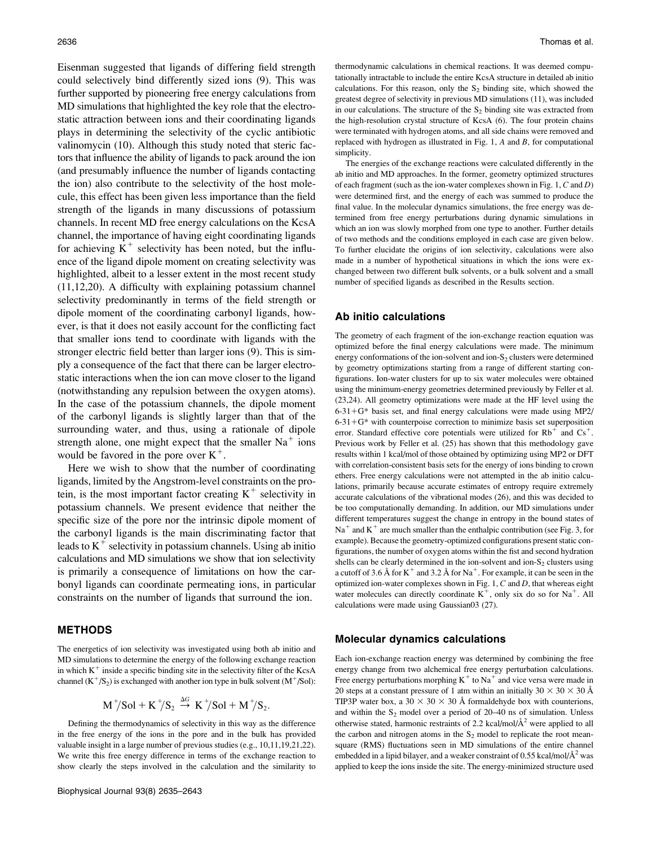Eisenman suggested that ligands of differing field strength could selectively bind differently sized ions (9). This was further supported by pioneering free energy calculations from MD simulations that highlighted the key role that the electrostatic attraction between ions and their coordinating ligands plays in determining the selectivity of the cyclic antibiotic valinomycin (10). Although this study noted that steric factors that influence the ability of ligands to pack around the ion (and presumably influence the number of ligands contacting the ion) also contribute to the selectivity of the host molecule, this effect has been given less importance than the field strength of the ligands in many discussions of potassium channels. In recent MD free energy calculations on the KcsA channel, the importance of having eight coordinating ligands for achieving  $K^+$  selectivity has been noted, but the influence of the ligand dipole moment on creating selectivity was highlighted, albeit to a lesser extent in the most recent study (11,12,20). A difficulty with explaining potassium channel selectivity predominantly in terms of the field strength or dipole moment of the coordinating carbonyl ligands, however, is that it does not easily account for the conflicting fact that smaller ions tend to coordinate with ligands with the stronger electric field better than larger ions (9). This is simply a consequence of the fact that there can be larger electrostatic interactions when the ion can move closer to the ligand (notwithstanding any repulsion between the oxygen atoms). In the case of the potassium channels, the dipole moment of the carbonyl ligands is slightly larger than that of the surrounding water, and thus, using a rationale of dipole strength alone, one might expect that the smaller  $Na<sup>+</sup>$  ions would be favored in the pore over  $K^+$ .

Here we wish to show that the number of coordinating ligands, limited by the Angstrom-level constraints on the protein, is the most important factor creating  $K^+$  selectivity in potassium channels. We present evidence that neither the specific size of the pore nor the intrinsic dipole moment of the carbonyl ligands is the main discriminating factor that leads to  $K^+$  selectivity in potassium channels. Using ab initio calculations and MD simulations we show that ion selectivity is primarily a consequence of limitations on how the carbonyl ligands can coordinate permeating ions, in particular constraints on the number of ligands that surround the ion.

# METHODS

The energetics of ion selectivity was investigated using both ab initio and MD simulations to determine the energy of the following exchange reaction in which  $K^+$  inside a specific binding site in the selectivity filter of the KcsA channel  $(K^+/S_2)$  is exchanged with another ion type in bulk solvent  $(M^+/Sol)$ :

$$
M^{\dagger}/Sol + K^{\dagger}/S_2 \stackrel{\Delta G}{\rightarrow} K^{\dagger}/Sol + M^{\dagger}/S_2.
$$

Defining the thermodynamics of selectivity in this way as the difference in the free energy of the ions in the pore and in the bulk has provided valuable insight in a large number of previous studies (e.g., 10,11,19,21,22). We write this free energy difference in terms of the exchange reaction to show clearly the steps involved in the calculation and the similarity to thermodynamic calculations in chemical reactions. It was deemed computationally intractable to include the entire KcsA structure in detailed ab initio calculations. For this reason, only the  $S<sub>2</sub>$  binding site, which showed the greatest degree of selectivity in previous MD simulations (11), was included in our calculations. The structure of the  $S_2$  binding site was extracted from the high-resolution crystal structure of KcsA (6). The four protein chains were terminated with hydrogen atoms, and all side chains were removed and replaced with hydrogen as illustrated in Fig. 1, A and B, for computational simplicity.

The energies of the exchange reactions were calculated differently in the ab initio and MD approaches. In the former, geometry optimized structures of each fragment (such as the ion-water complexes shown in Fig. 1, C and D) were determined first, and the energy of each was summed to produce the final value. In the molecular dynamics simulations, the free energy was determined from free energy perturbations during dynamic simulations in which an ion was slowly morphed from one type to another. Further details of two methods and the conditions employed in each case are given below. To further elucidate the origins of ion selectivity, calculations were also made in a number of hypothetical situations in which the ions were exchanged between two different bulk solvents, or a bulk solvent and a small number of specified ligands as described in the Results section.

### Ab initio calculations

The geometry of each fragment of the ion-exchange reaction equation was optimized before the final energy calculations were made. The minimum energy conformations of the ion-solvent and ion- $S_2$  clusters were determined by geometry optimizations starting from a range of different starting configurations. Ion-water clusters for up to six water molecules were obtained using the minimum-energy geometries determined previously by Feller et al. (23,24). All geometry optimizations were made at the HF level using the  $6-31+G^*$  basis set, and final energy calculations were made using MP2/  $6-31+G^*$  with counterpoise correction to minimize basis set superposition error. Standard effective core potentials were utilized for  $Rb^+$  and  $Cs^+$ . Previous work by Feller et al. (25) has shown that this methodology gave results within 1 kcal/mol of those obtained by optimizing using MP2 or DFT with correlation-consistent basis sets for the energy of ions binding to crown ethers. Free energy calculations were not attempted in the ab initio calculations, primarily because accurate estimates of entropy require extremely accurate calculations of the vibrational modes (26), and this was decided to be too computationally demanding. In addition, our MD simulations under different temperatures suggest the change in entropy in the bound states of  $Na<sup>+</sup>$  and  $K<sup>+</sup>$  are much smaller than the enthalpic contribution (see Fig. 3, for example). Because the geometry-optimized configurations present static configurations, the number of oxygen atoms within the fist and second hydration shells can be clearly determined in the ion-solvent and ion- $S<sub>2</sub>$  clusters using a cutoff of 3.6 Å for  $K^+$  and 3.2 Å for Na<sup>+</sup>. For example, it can be seen in the optimized ion-water complexes shown in Fig. 1, C and D, that whereas eight water molecules can directly coordinate  $K^+$ , only six do so for Na<sup>+</sup>. All calculations were made using Gaussian03 (27).

### Molecular dynamics calculations

Each ion-exchange reaction energy was determined by combining the free energy change from two alchemical free energy perturbation calculations. Free energy perturbations morphing  $K^+$  to Na<sup>+</sup> and vice versa were made in 20 steps at a constant pressure of 1 atm within an initially  $30 \times 30 \times 30$  Å TIP3P water box, a 30  $\times$  30  $\times$  30 Å formaldehyde box with counterions, and within the  $S_2$  model over a period of 20–40 ns of simulation. Unless otherwise stated, harmonic restraints of 2.2 kcal/mol/ $A<sup>2</sup>$  were applied to all the carbon and nitrogen atoms in the  $S_2$  model to replicate the root meansquare (RMS) fluctuations seen in MD simulations of the entire channel embedded in a lipid bilayer, and a weaker constraint of 0.55 kcal/mol/ $A<sup>2</sup>$  was applied to keep the ions inside the site. The energy-minimized structure used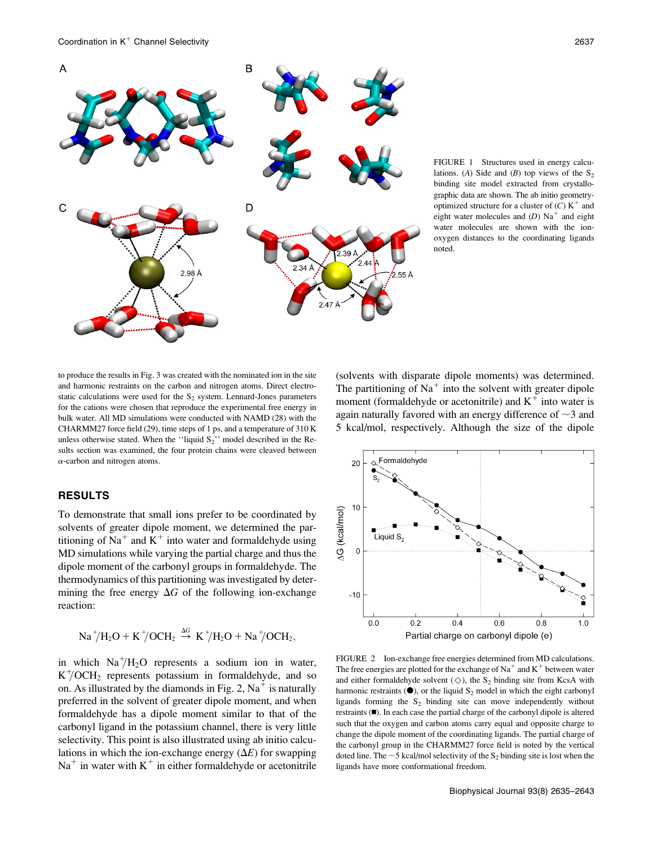

FIGURE 1 Structures used in energy calculations. (A) Side and (B) top views of the  $S_2$ binding site model extracted from crystallographic data are shown. The ab initio geometryoptimized structure for a cluster of  $(C) K^+$  and eight water molecules and  $(D)$  Na<sup>+</sup> and eight water molecules are shown with the ionoxygen distances to the coordinating ligands noted.

to produce the results in Fig. 3 was created with the nominated ion in the site and harmonic restraints on the carbon and nitrogen atoms. Direct electrostatic calculations were used for the  $S_2$  system. Lennard-Jones parameters for the cations were chosen that reproduce the experimental free energy in bulk water. All MD simulations were conducted with NAMD (28) with the CHARMM27 force field (29), time steps of 1 ps, and a temperature of 310 K unless otherwise stated. When the "liquid  $S_2$ " model described in the Results section was examined, the four protein chains were cleaved between  $\alpha$ -carbon and nitrogen atoms.

## RESULTS

To demonstrate that small ions prefer to be coordinated by solvents of greater dipole moment, we determined the partitioning of Na<sup>+</sup> and K<sup>+</sup> into water and formaldehyde using MD simulations while varying the partial charge and thus the dipole moment of the carbonyl groups in formaldehyde. The thermodynamics of this partitioning was investigated by determining the free energy  $\Delta G$  of the following ion-exchange reaction:

$$
Na^+\!/H_2O + K^+\!/OCH_2 \, \stackrel{\Delta G}{\rightarrow} \, K^+\!/H_2O + Na^+\!/OCH_2,
$$

in which  $Na^{+}/H_{2}O$  represents a sodium ion in water,  $K^+/OCH_2$  represents potassium in formaldehyde, and so on. As illustrated by the diamonds in Fig. 2,  $Na<sup>+</sup>$  is naturally preferred in the solvent of greater dipole moment, and when formaldehyde has a dipole moment similar to that of the carbonyl ligand in the potassium channel, there is very little selectivity. This point is also illustrated using ab initio calculations in which the ion-exchange energy  $(\Delta E)$  for swapping  $Na<sup>+</sup>$  in water with  $K<sup>+</sup>$  in either formaldehyde or acetonitrile

(solvents with disparate dipole moments) was determined. The partitioning of  $Na<sup>+</sup>$  into the solvent with greater dipole moment (formaldehyde or acetonitrile) and  $K^+$  into water is again naturally favored with an energy difference of  $\sim$ 3 and 5 kcal/mol, respectively. Although the size of the dipole



FIGURE 2 Ion-exchange free energies determined from MD calculations. The free energies are plotted for the exchange of  $Na<sup>+</sup>$  and  $K<sup>+</sup>$  between water and either formaldehyde solvent  $(\diamondsuit)$ , the S<sub>2</sub> binding site from KcsA with harmonic restraints  $(\bullet)$ , or the liquid  $S_2$  model in which the eight carbonyl ligands forming the  $S_2$  binding site can move independently without restraints ( $\blacksquare$ ). In each case the partial charge of the carbonyl dipole is altered such that the oxygen and carbon atoms carry equal and opposite charge to change the dipole moment of the coordinating ligands. The partial charge of the carbonyl group in the CHARMM27 force field is noted by the vertical doted line. The  $\sim$  5 kcal/mol selectivity of the S<sub>2</sub> binding site is lost when the ligands have more conformational freedom.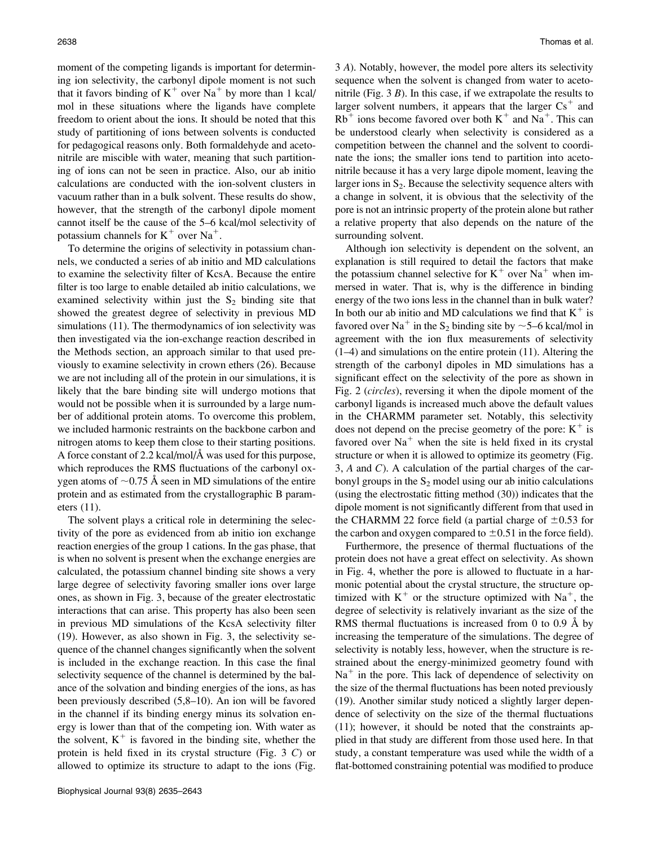moment of the competing ligands is important for determining ion selectivity, the carbonyl dipole moment is not such that it favors binding of  $K^+$  over  $Na^+$  by more than 1 kcal/ mol in these situations where the ligands have complete freedom to orient about the ions. It should be noted that this study of partitioning of ions between solvents is conducted for pedagogical reasons only. Both formaldehyde and acetonitrile are miscible with water, meaning that such partitioning of ions can not be seen in practice. Also, our ab initio calculations are conducted with the ion-solvent clusters in vacuum rather than in a bulk solvent. These results do show, however, that the strength of the carbonyl dipole moment cannot itself be the cause of the 5–6 kcal/mol selectivity of potassium channels for  $K^+$  over Na<sup>+</sup>.

To determine the origins of selectivity in potassium channels, we conducted a series of ab initio and MD calculations to examine the selectivity filter of KcsA. Because the entire filter is too large to enable detailed ab initio calculations, we examined selectivity within just the  $S_2$  binding site that showed the greatest degree of selectivity in previous MD simulations (11). The thermodynamics of ion selectivity was then investigated via the ion-exchange reaction described in the Methods section, an approach similar to that used previously to examine selectivity in crown ethers (26). Because we are not including all of the protein in our simulations, it is likely that the bare binding site will undergo motions that would not be possible when it is surrounded by a large number of additional protein atoms. To overcome this problem, we included harmonic restraints on the backbone carbon and nitrogen atoms to keep them close to their starting positions. A force constant of 2.2 kcal/mol/ $\AA$  was used for this purpose, which reproduces the RMS fluctuations of the carbonyl oxygen atoms of  $\sim$ 0.75 Å seen in MD simulations of the entire protein and as estimated from the crystallographic B parameters (11).

The solvent plays a critical role in determining the selectivity of the pore as evidenced from ab initio ion exchange reaction energies of the group 1 cations. In the gas phase, that is when no solvent is present when the exchange energies are calculated, the potassium channel binding site shows a very large degree of selectivity favoring smaller ions over large ones, as shown in Fig. 3, because of the greater electrostatic interactions that can arise. This property has also been seen in previous MD simulations of the KcsA selectivity filter (19). However, as also shown in Fig. 3, the selectivity sequence of the channel changes significantly when the solvent is included in the exchange reaction. In this case the final selectivity sequence of the channel is determined by the balance of the solvation and binding energies of the ions, as has been previously described (5,8–10). An ion will be favored in the channel if its binding energy minus its solvation energy is lower than that of the competing ion. With water as the solvent,  $K^+$  is favored in the binding site, whether the protein is held fixed in its crystal structure (Fig. 3 C) or allowed to optimize its structure to adapt to the ions (Fig.

3 A). Notably, however, the model pore alters its selectivity sequence when the solvent is changed from water to acetonitrile (Fig.  $3 B$ ). In this case, if we extrapolate the results to larger solvent numbers, it appears that the larger  $Cs<sup>+</sup>$  and  $Rb<sup>+</sup>$  ions become favored over both  $K<sup>+</sup>$  and Na<sup>+</sup>. This can be understood clearly when selectivity is considered as a competition between the channel and the solvent to coordinate the ions; the smaller ions tend to partition into acetonitrile because it has a very large dipole moment, leaving the larger ions in  $S_2$ . Because the selectivity sequence alters with a change in solvent, it is obvious that the selectivity of the pore is not an intrinsic property of the protein alone but rather a relative property that also depends on the nature of the surrounding solvent.

Although ion selectivity is dependent on the solvent, an explanation is still required to detail the factors that make the potassium channel selective for  $K^+$  over Na<sup>+</sup> when immersed in water. That is, why is the difference in binding energy of the two ions less in the channel than in bulk water? In both our ab initio and MD calculations we find that  $K^+$  is favored over Na<sup>+</sup> in the S<sub>2</sub> binding site by  $\sim$  5–6 kcal/mol in agreement with the ion flux measurements of selectivity (1–4) and simulations on the entire protein (11). Altering the strength of the carbonyl dipoles in MD simulations has a significant effect on the selectivity of the pore as shown in Fig. 2 (circles), reversing it when the dipole moment of the carbonyl ligands is increased much above the default values in the CHARMM parameter set. Notably, this selectivity does not depend on the precise geometry of the pore:  $K^+$  is favored over  $Na<sup>+</sup>$  when the site is held fixed in its crystal structure or when it is allowed to optimize its geometry (Fig. 3, A and C). A calculation of the partial charges of the carbonyl groups in the  $S_2$  model using our ab initio calculations (using the electrostatic fitting method (30)) indicates that the dipole moment is not significantly different from that used in the CHARMM 22 force field (a partial charge of  $\pm 0.53$  for the carbon and oxygen compared to  $\pm 0.51$  in the force field).

Furthermore, the presence of thermal fluctuations of the protein does not have a great effect on selectivity. As shown in Fig. 4, whether the pore is allowed to fluctuate in a harmonic potential about the crystal structure, the structure optimized with  $K^+$  or the structure optimized with Na<sup>+</sup>, the degree of selectivity is relatively invariant as the size of the RMS thermal fluctuations is increased from 0 to 0.9  $\AA$  by increasing the temperature of the simulations. The degree of selectivity is notably less, however, when the structure is restrained about the energy-minimized geometry found with  $Na<sup>+</sup>$  in the pore. This lack of dependence of selectivity on the size of the thermal fluctuations has been noted previously (19). Another similar study noticed a slightly larger dependence of selectivity on the size of the thermal fluctuations (11); however, it should be noted that the constraints applied in that study are different from those used here. In that study, a constant temperature was used while the width of a flat-bottomed constraining potential was modified to produce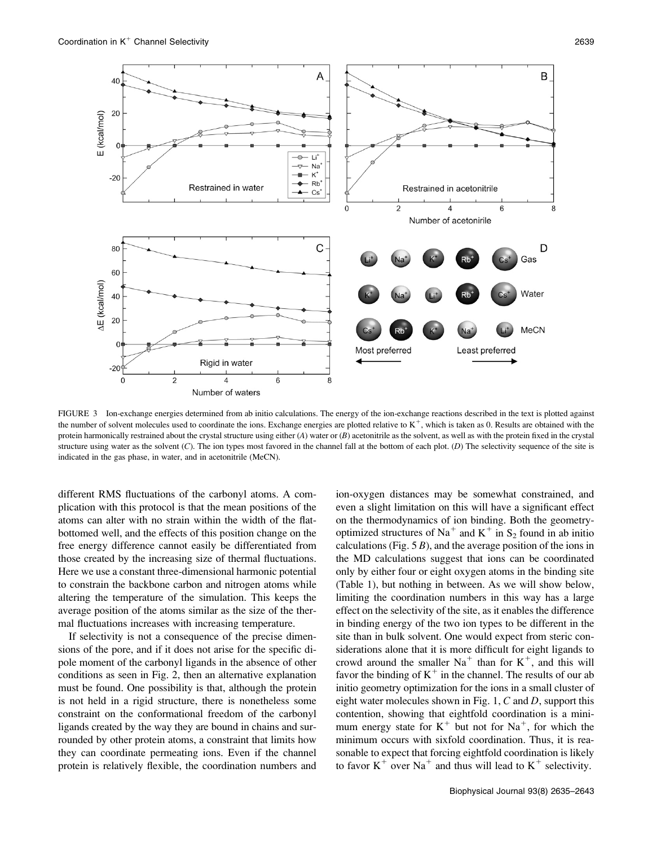

FIGURE 3 Ion-exchange energies determined from ab initio calculations. The energy of the ion-exchange reactions described in the text is plotted against the number of solvent molecules used to coordinate the ions. Exchange energies are plotted relative to  $K^+$ , which is taken as 0. Results are obtained with the protein harmonically restrained about the crystal structure using either  $(A)$  water or  $(B)$  acetonitrile as the solvent, as well as with the protein fixed in the crystal structure using water as the solvent  $(C)$ . The ion types most favored in the channel fall at the bottom of each plot.  $(D)$  The selectivity sequence of the site is indicated in the gas phase, in water, and in acetonitrile (MeCN).

different RMS fluctuations of the carbonyl atoms. A complication with this protocol is that the mean positions of the atoms can alter with no strain within the width of the flatbottomed well, and the effects of this position change on the free energy difference cannot easily be differentiated from those created by the increasing size of thermal fluctuations. Here we use a constant three-dimensional harmonic potential to constrain the backbone carbon and nitrogen atoms while altering the temperature of the simulation. This keeps the average position of the atoms similar as the size of the thermal fluctuations increases with increasing temperature.

If selectivity is not a consequence of the precise dimensions of the pore, and if it does not arise for the specific dipole moment of the carbonyl ligands in the absence of other conditions as seen in Fig. 2, then an alternative explanation must be found. One possibility is that, although the protein is not held in a rigid structure, there is nonetheless some constraint on the conformational freedom of the carbonyl ligands created by the way they are bound in chains and surrounded by other protein atoms, a constraint that limits how they can coordinate permeating ions. Even if the channel protein is relatively flexible, the coordination numbers and

ion-oxygen distances may be somewhat constrained, and even a slight limitation on this will have a significant effect on the thermodynamics of ion binding. Both the geometryoptimized structures of  $Na<sup>+</sup>$  and  $K<sup>+</sup>$  in S<sub>2</sub> found in ab initio calculations (Fig.  $5B$ ), and the average position of the ions in the MD calculations suggest that ions can be coordinated only by either four or eight oxygen atoms in the binding site (Table 1), but nothing in between. As we will show below, limiting the coordination numbers in this way has a large effect on the selectivity of the site, as it enables the difference in binding energy of the two ion types to be different in the site than in bulk solvent. One would expect from steric considerations alone that it is more difficult for eight ligands to crowd around the smaller  $Na<sup>+</sup>$  than for  $K<sup>+</sup>$ , and this will favor the binding of  $K^+$  in the channel. The results of our ab initio geometry optimization for the ions in a small cluster of eight water molecules shown in Fig. 1, C and D, support this contention, showing that eightfold coordination is a minimum energy state for  $K^+$  but not for  $Na^+$ , for which the minimum occurs with sixfold coordination. Thus, it is reasonable to expect that forcing eightfold coordination is likely to favor  $K^+$  over Na<sup>+</sup> and thus will lead to  $K^+$  selectivity.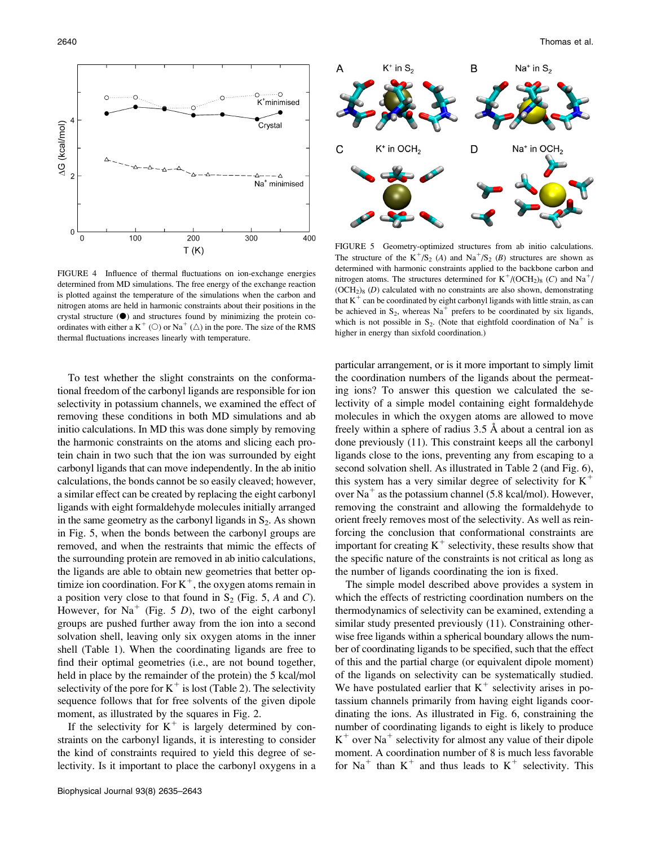

FIGURE 4 Influence of thermal fluctuations on ion-exchange energies determined from MD simulations. The free energy of the exchange reaction is plotted against the temperature of the simulations when the carbon and nitrogen atoms are held in harmonic constraints about their positions in the crystal structure  $(\bullet)$  and structures found by minimizing the protein coordinates with either a K<sup>+</sup> ( $\circ$ ) or Na<sup>+</sup> ( $\triangle$ ) in the pore. The size of the RMS thermal fluctuations increases linearly with temperature.

To test whether the slight constraints on the conformational freedom of the carbonyl ligands are responsible for ion selectivity in potassium channels, we examined the effect of removing these conditions in both MD simulations and ab initio calculations. In MD this was done simply by removing the harmonic constraints on the atoms and slicing each protein chain in two such that the ion was surrounded by eight carbonyl ligands that can move independently. In the ab initio calculations, the bonds cannot be so easily cleaved; however, a similar effect can be created by replacing the eight carbonyl ligands with eight formaldehyde molecules initially arranged in the same geometry as the carbonyl ligands in  $S_2$ . As shown in Fig. 5, when the bonds between the carbonyl groups are removed, and when the restraints that mimic the effects of the surrounding protein are removed in ab initio calculations, the ligands are able to obtain new geometries that better optimize ion coordination. For  $K^+$ , the oxygen atoms remain in a position very close to that found in  $S_2$  (Fig. 5, A and C). However, for Na<sup>+</sup> (Fig. 5 D), two of the eight carbonyl groups are pushed further away from the ion into a second solvation shell, leaving only six oxygen atoms in the inner shell (Table 1). When the coordinating ligands are free to find their optimal geometries (i.e., are not bound together, held in place by the remainder of the protein) the 5 kcal/mol selectivity of the pore for  $K^+$  is lost (Table 2). The selectivity sequence follows that for free solvents of the given dipole moment, as illustrated by the squares in Fig. 2.

If the selectivity for  $K^+$  is largely determined by constraints on the carbonyl ligands, it is interesting to consider the kind of constraints required to yield this degree of selectivity. Is it important to place the carbonyl oxygens in a



FIGURE 5 Geometry-optimized structures from ab initio calculations. The structure of the  $K^+/S_2$  (A) and  $Na^+/S_2$  (B) structures are shown as determined with harmonic constraints applied to the backbone carbon and nitrogen atoms. The structures determined for  $K^+$ /(OCH<sub>2</sub>)<sub>8</sub> (C) and Na<sup>+</sup>/  $(OCH<sub>2</sub>)<sub>8</sub>$  (D) calculated with no constraints are also shown, demonstrating that  $K^+$  can be coordinated by eight carbonyl ligands with little strain, as can be achieved in  $S_2$ , whereas  $Na^+$  prefers to be coordinated by six ligands, which is not possible in  $S_2$ . (Note that eightfold coordination of Na<sup>+</sup> is higher in energy than sixfold coordination.)

particular arrangement, or is it more important to simply limit the coordination numbers of the ligands about the permeating ions? To answer this question we calculated the selectivity of a simple model containing eight formaldehyde molecules in which the oxygen atoms are allowed to move freely within a sphere of radius  $3.5 \text{ Å}$  about a central ion as done previously (11). This constraint keeps all the carbonyl ligands close to the ions, preventing any from escaping to a second solvation shell. As illustrated in Table 2 (and Fig. 6), this system has a very similar degree of selectivity for  $K^+$ over Na<sup>+</sup> as the potassium channel (5.8 kcal/mol). However, removing the constraint and allowing the formaldehyde to orient freely removes most of the selectivity. As well as reinforcing the conclusion that conformational constraints are important for creating  $K^+$  selectivity, these results show that the specific nature of the constraints is not critical as long as the number of ligands coordinating the ion is fixed.

The simple model described above provides a system in which the effects of restricting coordination numbers on the thermodynamics of selectivity can be examined, extending a similar study presented previously (11). Constraining otherwise free ligands within a spherical boundary allows the number of coordinating ligands to be specified, such that the effect of this and the partial charge (or equivalent dipole moment) of the ligands on selectivity can be systematically studied. We have postulated earlier that  $K^+$  selectivity arises in potassium channels primarily from having eight ligands coordinating the ions. As illustrated in Fig. 6, constraining the number of coordinating ligands to eight is likely to produce  $K^+$  over Na<sup>+</sup> selectivity for almost any value of their dipole moment. A coordination number of 8 is much less favorable for Na<sup>+</sup> than K<sup>+</sup> and thus leads to K<sup>+</sup> selectivity. This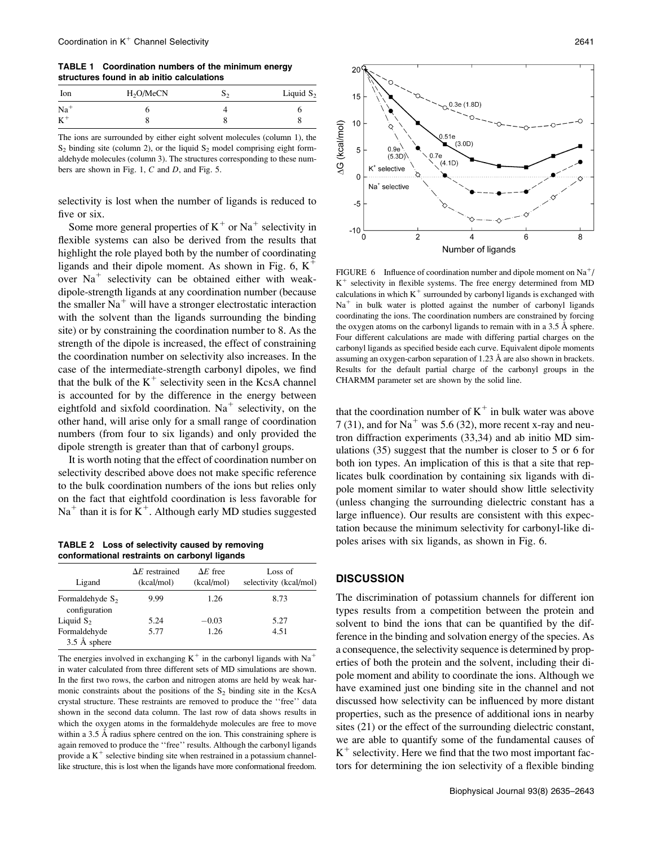TABLE 1 Coordination numbers of the minimum energy structures found in ab initio calculations

| Ion   | H <sub>2</sub> O/MeCN | ື | Liquid $S_2$ |
|-------|-----------------------|---|--------------|
| $Na+$ |                       |   |              |
| K     |                       |   | Õ            |

The ions are surrounded by either eight solvent molecules (column 1), the  $S_2$  binding site (column 2), or the liquid  $S_2$  model comprising eight formaldehyde molecules (column 3). The structures corresponding to these numbers are shown in Fig. 1, C and D, and Fig. 5.

selectivity is lost when the number of ligands is reduced to five or six.

Some more general properties of  $K^+$  or Na<sup>+</sup> selectivity in flexible systems can also be derived from the results that highlight the role played both by the number of coordinating ligands and their dipole moment. As shown in Fig. 6,  $K^+$ over  $Na<sup>+</sup>$  selectivity can be obtained either with weakdipole-strength ligands at any coordination number (because the smaller  $Na<sup>+</sup>$  will have a stronger electrostatic interaction with the solvent than the ligands surrounding the binding site) or by constraining the coordination number to 8. As the strength of the dipole is increased, the effect of constraining the coordination number on selectivity also increases. In the case of the intermediate-strength carbonyl dipoles, we find that the bulk of the  $K^+$  selectivity seen in the KcsA channel is accounted for by the difference in the energy between eightfold and sixfold coordination. Na<sup>+</sup> selectivity, on the other hand, will arise only for a small range of coordination numbers (from four to six ligands) and only provided the dipole strength is greater than that of carbonyl groups.

It is worth noting that the effect of coordination number on selectivity described above does not make specific reference to the bulk coordination numbers of the ions but relies only on the fact that eightfold coordination is less favorable for  $Na<sup>+</sup>$  than it is for K<sup>+</sup>. Although early MD studies suggested

TABLE 2 Loss of selectivity caused by removing conformational restraints on carbonyl ligands

| Ligand                                 | $\Delta E$ restrained<br>(kcal/mol) | $\Delta E$ free<br>(kcal/mol) | Loss of<br>selectivity (kcal/mol) |
|----------------------------------------|-------------------------------------|-------------------------------|-----------------------------------|
| Formaldehyde $S_2$<br>configuration    | 9.99                                | 1.26                          | 8.73                              |
| Liquid $S_2$                           | 5.24                                | $-0.03$                       | 5.27                              |
| Formaldehyde<br>$3.5 \text{ Å sphere}$ | 5.77                                | 1.26                          | 4.51                              |

The energies involved in exchanging  $K^+$  in the carbonyl ligands with Na<sup>+</sup> in water calculated from three different sets of MD simulations are shown. In the first two rows, the carbon and nitrogen atoms are held by weak harmonic constraints about the positions of the  $S_2$  binding site in the KcsA crystal structure. These restraints are removed to produce the ''free'' data shown in the second data column. The last row of data shows results in which the oxygen atoms in the formaldehyde molecules are free to move within a  $3.5 \text{ Å}$  radius sphere centred on the ion. This constraining sphere is again removed to produce the ''free'' results. Although the carbonyl ligands provide a  $K^+$  selective binding site when restrained in a potassium channellike structure, this is lost when the ligands have more conformational freedom.



FIGURE 6 Influence of coordination number and dipole moment on  $\text{Na}^+$ /  $K^+$  selectivity in flexible systems. The free energy determined from MD calculations in which  $K^+$  surrounded by carbonyl ligands is exchanged with  $Na<sup>+</sup>$  in bulk water is plotted against the number of carbonyl ligands coordinating the ions. The coordination numbers are constrained by forcing the oxygen atoms on the carbonyl ligands to remain with in a  $3.5 \text{ Å}$  sphere. Four different calculations are made with differing partial charges on the carbonyl ligands as specified beside each curve. Equivalent dipole moments assuming an oxygen-carbon separation of 1.23 Å are also shown in brackets. Results for the default partial charge of the carbonyl groups in the CHARMM parameter set are shown by the solid line.

that the coordination number of  $K^+$  in bulk water was above 7 (31), and for  $Na<sup>+</sup>$  was 5.6 (32), more recent x-ray and neutron diffraction experiments (33,34) and ab initio MD simulations (35) suggest that the number is closer to 5 or 6 for both ion types. An implication of this is that a site that replicates bulk coordination by containing six ligands with dipole moment similar to water should show little selectivity (unless changing the surrounding dielectric constant has a large influence). Our results are consistent with this expectation because the minimum selectivity for carbonyl-like dipoles arises with six ligands, as shown in Fig. 6.

#### **DISCUSSION**

The discrimination of potassium channels for different ion types results from a competition between the protein and solvent to bind the ions that can be quantified by the difference in the binding and solvation energy of the species. As a consequence, the selectivity sequence is determined by properties of both the protein and the solvent, including their dipole moment and ability to coordinate the ions. Although we have examined just one binding site in the channel and not discussed how selectivity can be influenced by more distant properties, such as the presence of additional ions in nearby sites (21) or the effect of the surrounding dielectric constant, we are able to quantify some of the fundamental causes of  $K^+$  selectivity. Here we find that the two most important factors for determining the ion selectivity of a flexible binding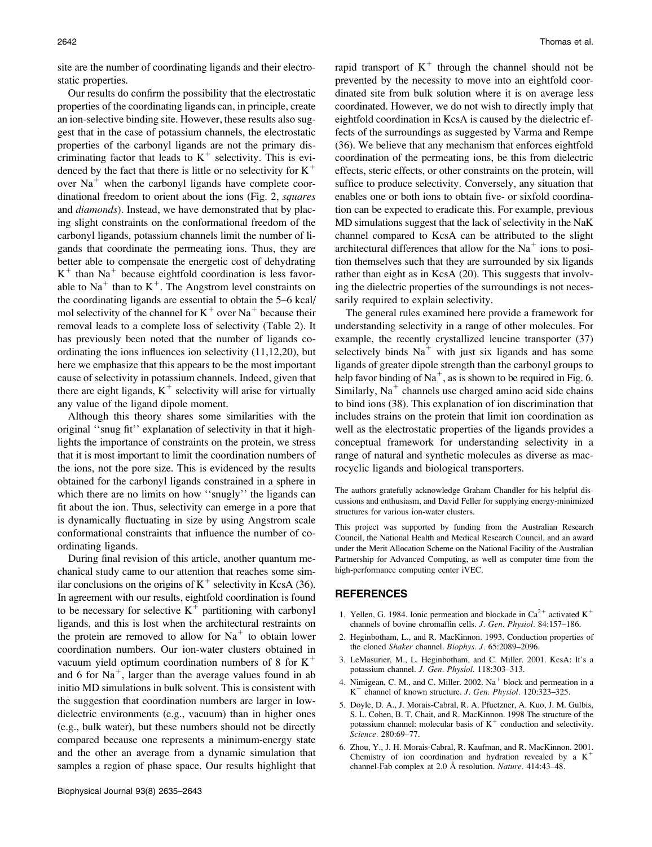site are the number of coordinating ligands and their electrostatic properties.

Our results do confirm the possibility that the electrostatic properties of the coordinating ligands can, in principle, create an ion-selective binding site. However, these results also suggest that in the case of potassium channels, the electrostatic properties of the carbonyl ligands are not the primary discriminating factor that leads to  $K^+$  selectivity. This is evidenced by the fact that there is little or no selectivity for  $K^+$ over  $Na<sup>+</sup>$  when the carbonyl ligands have complete coordinational freedom to orient about the ions (Fig. 2, squares and *diamonds*). Instead, we have demonstrated that by placing slight constraints on the conformational freedom of the carbonyl ligands, potassium channels limit the number of ligands that coordinate the permeating ions. Thus, they are better able to compensate the energetic cost of dehydrating  $K^+$  than Na<sup>+</sup> because eightfold coordination is less favorable to  $Na<sup>+</sup>$  than to  $K<sup>+</sup>$ . The Angstrom level constraints on the coordinating ligands are essential to obtain the 5–6 kcal/ mol selectivity of the channel for  $K^+$  over  $Na^+$  because their removal leads to a complete loss of selectivity (Table 2). It has previously been noted that the number of ligands coordinating the ions influences ion selectivity (11,12,20), but here we emphasize that this appears to be the most important cause of selectivity in potassium channels. Indeed, given that there are eight ligands,  $K^+$  selectivity will arise for virtually any value of the ligand dipole moment.

Although this theory shares some similarities with the original ''snug fit'' explanation of selectivity in that it highlights the importance of constraints on the protein, we stress that it is most important to limit the coordination numbers of the ions, not the pore size. This is evidenced by the results obtained for the carbonyl ligands constrained in a sphere in which there are no limits on how "snugly" the ligands can fit about the ion. Thus, selectivity can emerge in a pore that is dynamically fluctuating in size by using Angstrom scale conformational constraints that influence the number of coordinating ligands.

During final revision of this article, another quantum mechanical study came to our attention that reaches some similar conclusions on the origins of  $K^+$  selectivity in KcsA (36). In agreement with our results, eightfold coordination is found to be necessary for selective  $K^+$  partitioning with carbonyl ligands, and this is lost when the architectural restraints on the protein are removed to allow for  $Na<sup>+</sup>$  to obtain lower coordination numbers. Our ion-water clusters obtained in vacuum yield optimum coordination numbers of 8 for  $K^+$ and 6 for  $Na<sup>+</sup>$ , larger than the average values found in ab initio MD simulations in bulk solvent. This is consistent with the suggestion that coordination numbers are larger in lowdielectric environments (e.g., vacuum) than in higher ones (e.g., bulk water), but these numbers should not be directly compared because one represents a minimum-energy state and the other an average from a dynamic simulation that samples a region of phase space. Our results highlight that rapid transport of  $K^+$  through the channel should not be prevented by the necessity to move into an eightfold coordinated site from bulk solution where it is on average less coordinated. However, we do not wish to directly imply that eightfold coordination in KcsA is caused by the dielectric effects of the surroundings as suggested by Varma and Rempe (36). We believe that any mechanism that enforces eightfold coordination of the permeating ions, be this from dielectric effects, steric effects, or other constraints on the protein, will suffice to produce selectivity. Conversely, any situation that enables one or both ions to obtain five- or sixfold coordination can be expected to eradicate this. For example, previous MD simulations suggest that the lack of selectivity in the NaK channel compared to KcsA can be attributed to the slight architectural differences that allow for the  $Na<sup>+</sup>$  ions to position themselves such that they are surrounded by six ligands rather than eight as in KcsA (20). This suggests that involving the dielectric properties of the surroundings is not necessarily required to explain selectivity.

The general rules examined here provide a framework for understanding selectivity in a range of other molecules. For example, the recently crystallized leucine transporter (37) selectively binds  $Na<sup>+</sup>$  with just six ligands and has some ligands of greater dipole strength than the carbonyl groups to help favor binding of  $Na^+$ , as is shown to be required in Fig. 6. Similarly,  $Na<sup>+</sup>$  channels use charged amino acid side chains to bind ions (38). This explanation of ion discrimination that includes strains on the protein that limit ion coordination as well as the electrostatic properties of the ligands provides a conceptual framework for understanding selectivity in a range of natural and synthetic molecules as diverse as macrocyclic ligands and biological transporters.

The authors gratefully acknowledge Graham Chandler for his helpful discussions and enthusiasm, and David Feller for supplying energy-minimized structures for various ion-water clusters.

This project was supported by funding from the Australian Research Council, the National Health and Medical Research Council, and an award under the Merit Allocation Scheme on the National Facility of the Australian Partnership for Advanced Computing, as well as computer time from the high-performance computing center iVEC.

#### REFERENCES

- 1. Yellen, G. 1984. Ionic permeation and blockade in  $Ca^{2+}$  activated K<sup>+</sup> channels of bovine chromaffin cells. J. Gen. Physiol. 84:157–186.
- 2. Heginbotham, L., and R. MacKinnon. 1993. Conduction properties of the cloned Shaker channel. Biophys. J. 65:2089–2096.
- 3. LeMasurier, M., L. Heginbotham, and C. Miller. 2001. KcsA: It's a potassium channel. J. Gen. Physiol. 118:303–313.
- 4. Nimigean, C. M., and C. Miller. 2002.  $Na<sup>+</sup>$  block and permeation in a  $K^+$  channel of known structure. J. Gen. Physiol. 120:323-325.
- 5. Doyle, D. A., J. Morais-Cabral, R. A. Pfuetzner, A. Kuo, J. M. Gulbis, S. L. Cohen, B. T. Chait, and R. MacKinnon. 1998 The structure of the potassium channel: molecular basis of  $K^+$  conduction and selectivity. Science. 280:69–77.
- 6. Zhou, Y., J. H. Morais-Cabral, R. Kaufman, and R. MacKinnon. 2001. Chemistry of ion coordination and hydration revealed by a  $K^+$ channel-Fab complex at 2.0 Å resolution. Nature. 414:43-48.